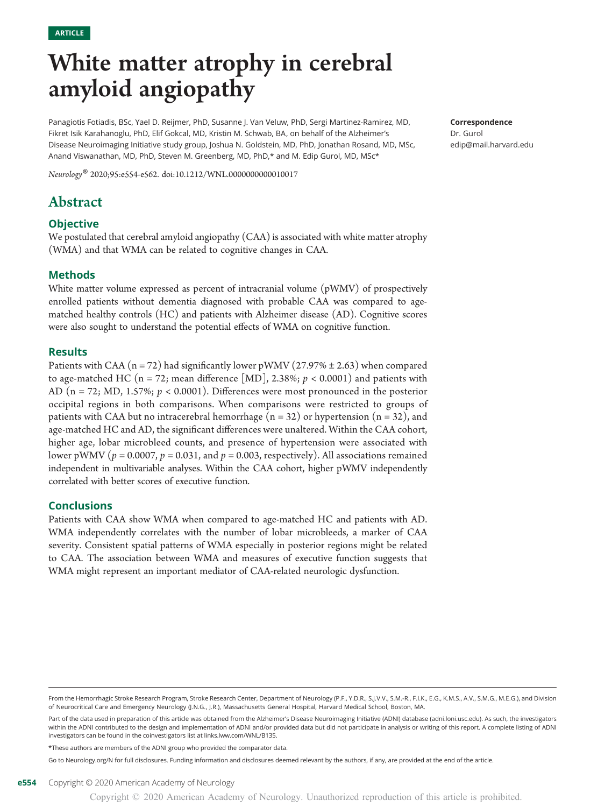# White matter atrophy in cerebral amyloid angiopathy

Panagiotis Fotiadis, BSc, Yael D. Reijmer, PhD, Susanne J. Van Veluw, PhD, Sergi Martinez-Ramirez, MD, Fikret Isik Karahanoglu, PhD, Elif Gokcal, MD, Kristin M. Schwab, BA, on behalf of the Alzheimer's Disease Neuroimaging Initiative study group, Joshua N. Goldstein, MD, PhD, Jonathan Rosand, MD, MSc, Anand Viswanathan, MD, PhD, Steven M. Greenberg, MD, PhD,\* and M. Edip Gurol, MD, MSc\*

Neurology® 2020;95:e554-e562. doi[:10.1212/WNL.0000000000010017](http://dx.doi.org/10.1212/WNL.0000000000010017)

# Abstract

# **Objective**

We postulated that cerebral amyloid angiopathy (CAA) is associated with white matter atrophy (WMA) and that WMA can be related to cognitive changes in CAA.

# Methods

White matter volume expressed as percent of intracranial volume (pWMV) of prospectively enrolled patients without dementia diagnosed with probable CAA was compared to agematched healthy controls (HC) and patients with Alzheimer disease (AD). Cognitive scores were also sought to understand the potential effects of WMA on cognitive function.

## Results

Patients with CAA ( $n = 72$ ) had significantly lower pWMV (27.97%  $\pm$  2.63) when compared to age-matched HC (n = 72; mean difference [MD], 2.38%;  $p < 0.0001$ ) and patients with AD ( $n = 72$ ; MD, 1.57%;  $p < 0.0001$ ). Differences were most pronounced in the posterior occipital regions in both comparisons. When comparisons were restricted to groups of patients with CAA but no intracerebral hemorrhage  $(n = 32)$  or hypertension  $(n = 32)$ , and age-matched HC and AD, the significant differences were unaltered. Within the CAA cohort, higher age, lobar microbleed counts, and presence of hypertension were associated with lower pWMV ( $p = 0.0007$ ,  $p = 0.031$ , and  $p = 0.003$ , respectively). All associations remained independent in multivariable analyses. Within the CAA cohort, higher pWMV independently correlated with better scores of executive function.

# **Conclusions**

Patients with CAA show WMA when compared to age-matched HC and patients with AD. WMA independently correlates with the number of lobar microbleeds, a marker of CAA severity. Consistent spatial patterns of WMA especially in posterior regions might be related to CAA. The association between WMA and measures of executive function suggests that WMA might represent an important mediator of CAA-related neurologic dysfunction.

\*These authors are members of the ADNI group who provided the comparator data.

Go to [Neurology.org/N](https://n.neurology.org/lookup/doi/10.1212/WNL.0000000000010017) for full disclosures. Funding information and disclosures deemed relevant by the authors, if any, are provided at the end of the article.

Correspondence Dr. Gurol [edip@mail.harvard.edu](mailto:edip@mail.harvard.edu)

From the Hemorrhagic Stroke Research Program, Stroke Research Center, Department of Neurology (P.F., Y.D.R., S.J.V.V., S.M.-R., F.I.K., E.G., K.M.S., A.V., S.M.G., M.E.G.), and Division of Neurocritical Care and Emergency Neurology (J.N.G., J.R.), Massachusetts General Hospital, Harvard Medical School, Boston, MA.

Part of the data used in preparation of this article was obtained from the Alzheimer's Disease Neuroimaging Initiative (ADNI) database [\(adni.loni.usc.edu\)](http://adni.loni.usc.edu). As such, the investigators within the ADNI contributed to the design and implementation of ADNI and/or provided data but did not participate in analysis or writing of this report. A complete listing of ADNI investigators can be found in the coinvestigators list at [links.lww.com/WNL/B135.](http://links.lww.com/WNL/B135)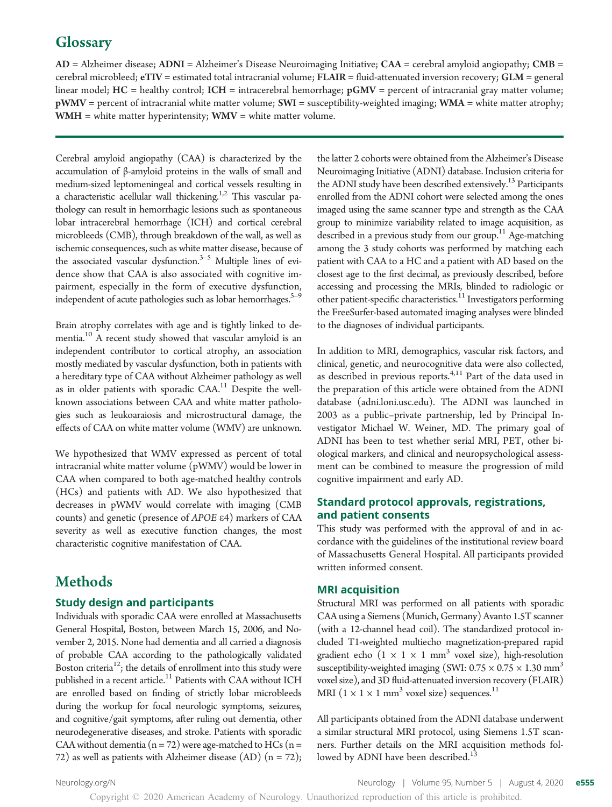# **Glossary**

AD = Alzheimer disease; ADNI = Alzheimer's Disease Neuroimaging Initiative; CAA = cerebral amyloid angiopathy; CMB = cerebral microbleed; eTIV = estimated total intracranial volume; FLAIR = fluid-attenuated inversion recovery; GLM = general linear model;  $HC =$  healthy control;  $ICH =$  intracerebral hemorrhage;  $pGWV =$  percent of intracranial gray matter volume; pWMV = percent of intracranial white matter volume; SWI = susceptibility-weighted imaging; WMA = white matter atrophy;  $WMH =$  white matter hyperintensity;  $WMV =$  white matter volume.

Cerebral amyloid angiopathy (CAA) is characterized by the accumulation of β-amyloid proteins in the walls of small and medium-sized leptomeningeal and cortical vessels resulting in a characteristic acellular wall thickening.<sup>1,2</sup> This vascular pathology can result in hemorrhagic lesions such as spontaneous lobar intracerebral hemorrhage (ICH) and cortical cerebral microbleeds (CMB), through breakdown of the wall, as well as ischemic consequences, such as white matter disease, because of the associated vascular dysfunction. $3-5$  Multiple lines of evidence show that CAA is also associated with cognitive impairment, especially in the form of executive dysfunction, independent of acute pathologies such as lobar hemorrhages.<sup>5-9</sup>

Brain atrophy correlates with age and is tightly linked to dementia.10 A recent study showed that vascular amyloid is an independent contributor to cortical atrophy, an association mostly mediated by vascular dysfunction, both in patients with a hereditary type of CAA without Alzheimer pathology as well as in older patients with sporadic CAA.11 Despite the wellknown associations between CAA and white matter pathologies such as leukoaraiosis and microstructural damage, the effects of CAA on white matter volume (WMV) are unknown.

We hypothesized that WMV expressed as percent of total intracranial white matter volume (pWMV) would be lower in CAA when compared to both age-matched healthy controls (HCs) and patients with AD. We also hypothesized that decreases in pWMV would correlate with imaging (CMB counts) and genetic (presence of APOE <sup>e</sup>4) markers of CAA severity as well as executive function changes, the most characteristic cognitive manifestation of CAA.

# Methods

## Study design and participants

Individuals with sporadic CAA were enrolled at Massachusetts General Hospital, Boston, between March 15, 2006, and November 2, 2015. None had dementia and all carried a diagnosis of probable CAA according to the pathologically validated Boston criteria<sup>12</sup>; the details of enrollment into this study were published in a recent article.<sup>11</sup> Patients with CAA without ICH are enrolled based on finding of strictly lobar microbleeds during the workup for focal neurologic symptoms, seizures, and cognitive/gait symptoms, after ruling out dementia, other neurodegenerative diseases, and stroke. Patients with sporadic CAA without dementia ( $n = 72$ ) were age-matched to HCs ( $n =$ 72) as well as patients with Alzheimer disease (AD)  $(n = 72)$ ;

the latter 2 cohorts were obtained from the Alzheimer's Disease Neuroimaging Initiative (ADNI) database. Inclusion criteria for the ADNI study have been described extensively.<sup>13</sup> Participants enrolled from the ADNI cohort were selected among the ones imaged using the same scanner type and strength as the CAA group to minimize variability related to image acquisition, as described in a previous study from our group.<sup>11</sup> Age-matching among the 3 study cohorts was performed by matching each patient with CAA to a HC and a patient with AD based on the closest age to the first decimal, as previously described, before accessing and processing the MRIs, blinded to radiologic or other patient-specific characteristics.<sup>11</sup> Investigators performing the FreeSurfer-based automated imaging analyses were blinded to the diagnoses of individual participants.

In addition to MRI, demographics, vascular risk factors, and clinical, genetic, and neurocognitive data were also collected, as described in previous reports.<sup>4,11</sup> Part of the data used in the preparation of this article were obtained from the ADNI database ([adni.loni.usc.edu](http://adni.loni.usc.edu)). The ADNI was launched in 2003 as a public–private partnership, led by Principal Investigator Michael W. Weiner, MD. The primary goal of ADNI has been to test whether serial MRI, PET, other biological markers, and clinical and neuropsychological assessment can be combined to measure the progression of mild cognitive impairment and early AD.

# Standard protocol approvals, registrations, and patient consents

This study was performed with the approval of and in accordance with the guidelines of the institutional review board of Massachusetts General Hospital. All participants provided written informed consent.

## MRI acquisition

Structural MRI was performed on all patients with sporadic CAA using a Siemens (Munich, Germany) Avanto 1.5T scanner (with a 12-channel head coil). The standardized protocol included T1-weighted multiecho magnetization-prepared rapid gradient echo  $(1 \times 1 \times 1$  mm<sup>3</sup> voxel size), high-resolution susceptibility-weighted imaging (SWI:  $0.75 \times 0.75 \times 1.30$  mm<sup>3</sup> voxel size), and 3D fluid-attenuated inversion recovery (FLAIR) MRI ( $1 \times 1 \times 1$  mm<sup>3</sup> voxel size) sequences.<sup>11</sup>

All participants obtained from the ADNI database underwent a similar structural MRI protocol, using Siemens 1.5T scanners. Further details on the MRI acquisition methods followed by ADNI have been described.<sup>13</sup>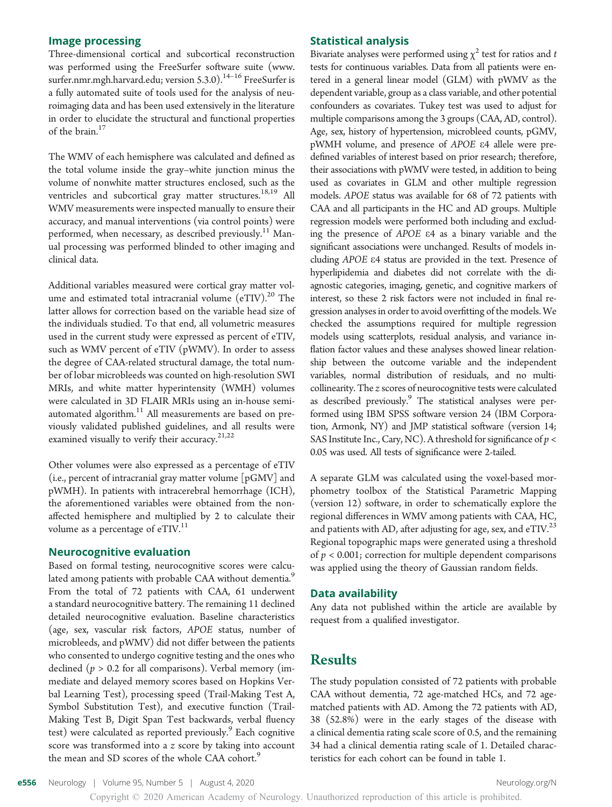## Image processing

Three-dimensional cortical and subcortical reconstruction was performed using the FreeSurfer software suite [\(www.](https://www.surfer.nmr.mgh.harvard.edu/) [surfer.nmr.mgh.harvard.edu; version 5.3.0\)](https://www.surfer.nmr.mgh.harvard.edu/).<sup>14-16</sup> FreeSurfer is a fully automated suite of tools used for the analysis of neuroimaging data and has been used extensively in the literature in order to elucidate the structural and functional properties of the brain.<sup>17</sup>

The WMV of each hemisphere was calculated and defined as the total volume inside the gray–white junction minus the volume of nonwhite matter structures enclosed, such as the ventricles and subcortical gray matter structures.<sup>18,19</sup> All WMV measurements were inspected manually to ensure their accuracy, and manual interventions (via control points) were performed, when necessary, as described previously.<sup>11</sup> Manual processing was performed blinded to other imaging and clinical data.

Additional variables measured were cortical gray matter volume and estimated total intracranial volume  $(eTIV).^{20}$  The latter allows for correction based on the variable head size of the individuals studied. To that end, all volumetric measures used in the current study were expressed as percent of eTIV, such as WMV percent of eTIV (pWMV). In order to assess the degree of CAA-related structural damage, the total number of lobar microbleeds was counted on high-resolution SWI MRIs, and white matter hyperintensity (WMH) volumes were calculated in 3D FLAIR MRIs using an in-house semiautomated algorithm. $11$  All measurements are based on previously validated published guidelines, and all results were examined visually to verify their accuracy. $21,22$ 

Other volumes were also expressed as a percentage of eTIV (i.e., percent of intracranial gray matter volume [pGMV] and pWMH). In patients with intracerebral hemorrhage (ICH), the aforementioned variables were obtained from the nonaffected hemisphere and multiplied by 2 to calculate their volume as a percentage of eTIV.<sup>11</sup>

#### Neurocognitive evaluation

Based on formal testing, neurocognitive scores were calculated among patients with probable CAA without dementia.<sup>9</sup> From the total of 72 patients with CAA, 61 underwent a standard neurocognitive battery. The remaining 11 declined detailed neurocognitive evaluation. Baseline characteristics (age, sex, vascular risk factors, APOE status, number of microbleeds, and pWMV) did not differ between the patients who consented to undergo cognitive testing and the ones who declined ( $p > 0.2$  for all comparisons). Verbal memory (immediate and delayed memory scores based on Hopkins Verbal Learning Test), processing speed (Trail-Making Test A, Symbol Substitution Test), and executive function (Trail-Making Test B, Digit Span Test backwards, verbal fluency test) were calculated as reported previously.<sup>9</sup> Each cognitive score was transformed into a z score by taking into account the mean and SD scores of the whole CAA cohort.<sup>9</sup>

#### Statistical analysis

Bivariate analyses were performed using  $\chi^2$  test for ratios and t tests for continuous variables. Data from all patients were entered in a general linear model (GLM) with pWMV as the dependent variable, group as a class variable, and other potential confounders as covariates. Tukey test was used to adjust for multiple comparisons among the 3 groups (CAA, AD, control). Age, sex, history of hypertension, microbleed counts, pGMV, pWMH volume, and presence of APOE <sup>e</sup>4 allele were predefined variables of interest based on prior research; therefore, their associations with pWMV were tested, in addition to being used as covariates in GLM and other multiple regression models. APOE status was available for 68 of 72 patients with CAA and all participants in the HC and AD groups. Multiple regression models were performed both including and excluding the presence of APOE <sup>e</sup>4 as a binary variable and the significant associations were unchanged. Results of models including APOE <sup>e</sup>4 status are provided in the text. Presence of hyperlipidemia and diabetes did not correlate with the diagnostic categories, imaging, genetic, and cognitive markers of interest, so these 2 risk factors were not included in final regression analyses in order to avoid overfitting of the models. We checked the assumptions required for multiple regression models using scatterplots, residual analysis, and variance inflation factor values and these analyses showed linear relationship between the outcome variable and the independent variables, normal distribution of residuals, and no multicollinearity. The z scores of neurocognitive tests were calculated as described previously.<sup>9</sup> The statistical analyses were performed using IBM SPSS software version 24 (IBM Corporation, Armonk, NY) and JMP statistical software (version 14; SAS Institute Inc., Cary, NC). A threshold for significance of  $p <$ 0.05 was used. All tests of significance were 2-tailed.

A separate GLM was calculated using the voxel-based morphometry toolbox of the Statistical Parametric Mapping (version 12) software, in order to schematically explore the regional differences in WMV among patients with CAA, HC, and patients with AD, after adjusting for age, sex, and  $eTIV.<sup>23</sup>$ Regional topographic maps were generated using a threshold of  $p < 0.001$ ; correction for multiple dependent comparisons was applied using the theory of Gaussian random fields.

#### Data availability

Any data not published within the article are available by request from a qualified investigator.

# Results

The study population consisted of 72 patients with probable CAA without dementia, 72 age-matched HCs, and 72 agematched patients with AD. Among the 72 patients with AD, 38 (52.8%) were in the early stages of the disease with a clinical dementia rating scale score of 0.5, and the remaining 34 had a clinical dementia rating scale of 1. Detailed characteristics for each cohort can be found in table 1.

e556 Neurology | Volume 95, Number 5 | August 4, 2020 [Neurology.org/N](http://neurology.org/n) Neurology.org/N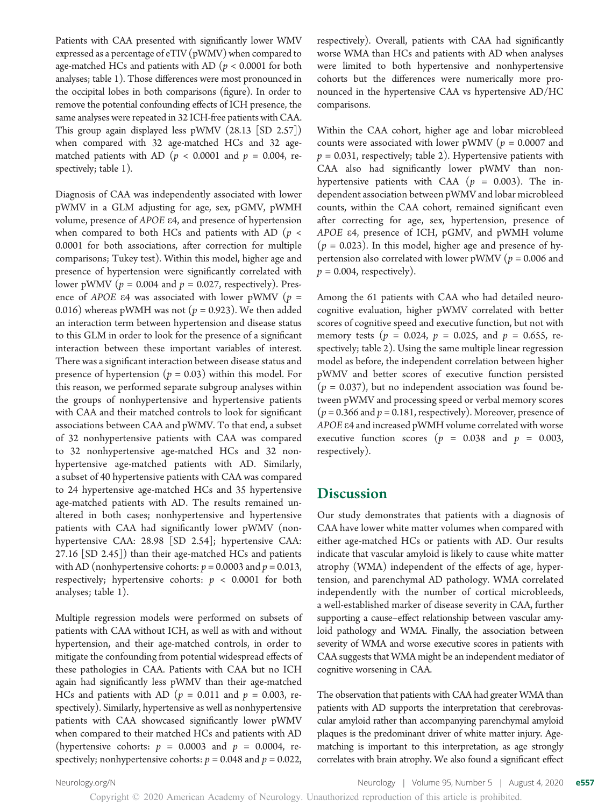Patients with CAA presented with significantly lower WMV expressed as a percentage of eTIV (pWMV) when compared to age-matched HCs and patients with AD ( $p < 0.0001$  for both analyses; table 1). Those differences were most pronounced in the occipital lobes in both comparisons (figure). In order to remove the potential confounding effects of ICH presence, the same analyses were repeated in 32 ICH-free patients with CAA. This group again displayed less pWMV (28.13 [SD 2.57]) when compared with 32 age-matched HCs and 32 agematched patients with AD ( $p < 0.0001$  and  $p = 0.004$ , respectively; table 1).

Diagnosis of CAA was independently associated with lower pWMV in a GLM adjusting for age, sex, pGMV, pWMH volume, presence of APOE <sup>e</sup>4, and presence of hypertension when compared to both HCs and patients with AD ( $p <$ 0.0001 for both associations, after correction for multiple comparisons; Tukey test). Within this model, higher age and presence of hypertension were significantly correlated with lower pWMV ( $p = 0.004$  and  $p = 0.027$ , respectively). Presence of APOE  $\varepsilon$ 4 was associated with lower pWMV ( $p =$ 0.016) whereas pWMH was not ( $p = 0.923$ ). We then added an interaction term between hypertension and disease status to this GLM in order to look for the presence of a significant interaction between these important variables of interest. There was a significant interaction between disease status and presence of hypertension ( $p = 0.03$ ) within this model. For this reason, we performed separate subgroup analyses within the groups of nonhypertensive and hypertensive patients with CAA and their matched controls to look for significant associations between CAA and pWMV. To that end, a subset of 32 nonhypertensive patients with CAA was compared to 32 nonhypertensive age-matched HCs and 32 nonhypertensive age-matched patients with AD. Similarly, a subset of 40 hypertensive patients with CAA was compared to 24 hypertensive age-matched HCs and 35 hypertensive age-matched patients with AD. The results remained unaltered in both cases; nonhypertensive and hypertensive patients with CAA had significantly lower pWMV (nonhypertensive CAA: 28.98 [SD 2.54]; hypertensive CAA: 27.16 [SD 2.45]) than their age-matched HCs and patients with AD (nonhypertensive cohorts:  $p = 0.0003$  and  $p = 0.013$ , respectively; hypertensive cohorts:  $p < 0.0001$  for both analyses; table 1).

Multiple regression models were performed on subsets of patients with CAA without ICH, as well as with and without hypertension, and their age-matched controls, in order to mitigate the confounding from potential widespread effects of these pathologies in CAA. Patients with CAA but no ICH again had significantly less pWMV than their age-matched HCs and patients with AD ( $p = 0.011$  and  $p = 0.003$ , respectively). Similarly, hypertensive as well as nonhypertensive patients with CAA showcased significantly lower pWMV when compared to their matched HCs and patients with AD (hypertensive cohorts:  $p = 0.0003$  and  $p = 0.0004$ , respectively; nonhypertensive cohorts:  $p = 0.048$  and  $p = 0.022$ ,

respectively). Overall, patients with CAA had significantly worse WMA than HCs and patients with AD when analyses were limited to both hypertensive and nonhypertensive cohorts but the differences were numerically more pronounced in the hypertensive CAA vs hypertensive AD/HC comparisons.

Within the CAA cohort, higher age and lobar microbleed counts were associated with lower pWMV ( $p = 0.0007$  and  $p = 0.031$ , respectively; table 2). Hypertensive patients with CAA also had significantly lower pWMV than nonhypertensive patients with CAA ( $p = 0.003$ ). The independent association between pWMV and lobar microbleed counts, within the CAA cohort, remained significant even after correcting for age, sex, hypertension, presence of APOE <sup>e</sup>4, presence of ICH, pGMV, and pWMH volume  $(p = 0.023)$ . In this model, higher age and presence of hypertension also correlated with lower pWMV ( $p = 0.006$  and  $p = 0.004$ , respectively).

Among the 61 patients with CAA who had detailed neurocognitive evaluation, higher pWMV correlated with better scores of cognitive speed and executive function, but not with memory tests ( $p = 0.024$ ,  $p = 0.025$ , and  $p = 0.655$ , respectively; table 2). Using the same multiple linear regression model as before, the independent correlation between higher pWMV and better scores of executive function persisted  $(p = 0.037)$ , but no independent association was found between pWMV and processing speed or verbal memory scores  $(p = 0.366$  and  $p = 0.181$ , respectively). Moreover, presence of APOE <sup>e</sup>4 and increased pWMH volume correlated with worse executive function scores ( $p = 0.038$  and  $p = 0.003$ , respectively).

# **Discussion**

Our study demonstrates that patients with a diagnosis of CAA have lower white matter volumes when compared with either age-matched HCs or patients with AD. Our results indicate that vascular amyloid is likely to cause white matter atrophy (WMA) independent of the effects of age, hypertension, and parenchymal AD pathology. WMA correlated independently with the number of cortical microbleeds, a well-established marker of disease severity in CAA, further supporting a cause–effect relationship between vascular amyloid pathology and WMA. Finally, the association between severity of WMA and worse executive scores in patients with CAA suggests that WMA might be an independent mediator of cognitive worsening in CAA.

The observation that patients with CAA had greater WMA than patients with AD supports the interpretation that cerebrovascular amyloid rather than accompanying parenchymal amyloid plaques is the predominant driver of white matter injury. Agematching is important to this interpretation, as age strongly correlates with brain atrophy. We also found a significant effect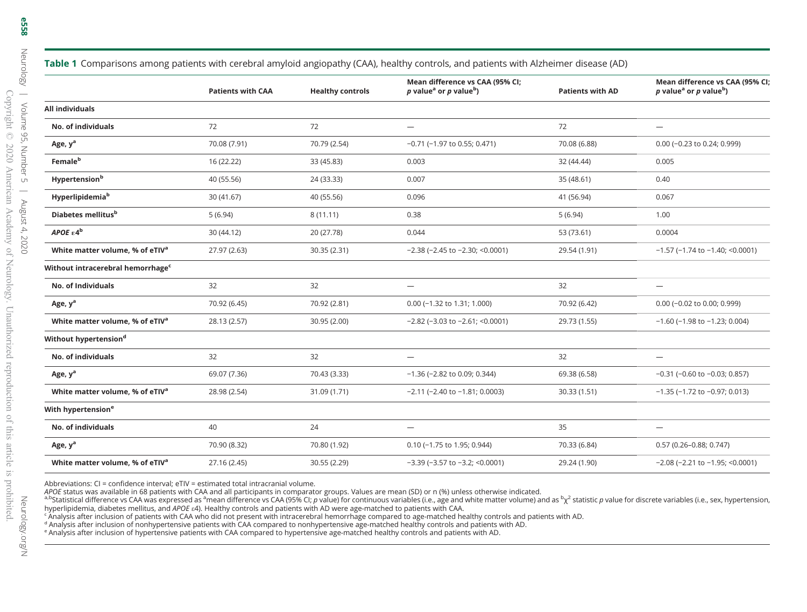|                                               | <b>Patients with CAA</b> | <b>Healthy controls</b> | Mean difference vs CAA (95% CI;<br>p value <sup>a</sup> or p value <sup>b</sup> ) | <b>Patients with AD</b> | Mean difference vs CAA (95% CI)<br>p value <sup>a</sup> or p value <sup>b</sup> ) |
|-----------------------------------------------|--------------------------|-------------------------|-----------------------------------------------------------------------------------|-------------------------|-----------------------------------------------------------------------------------|
| <b>All individuals</b>                        |                          |                         |                                                                                   |                         |                                                                                   |
| No. of individuals                            | 72                       | 72                      | $\qquad \qquad -$                                                                 | 72                      | $\overbrace{\phantom{1232211}}$                                                   |
| Age, y <sup>a</sup>                           | 70.08 (7.91)             | 70.79 (2.54)            | $-0.71$ ( $-1.97$ to 0.55; 0.471)                                                 | 70.08 (6.88)            | 0.00 (-0.23 to 0.24; 0.999)                                                       |
| Female <sup>b</sup>                           | 16 (22.22)               | 33 (45.83)              | 0.003                                                                             | 32 (44.44)              | 0.005                                                                             |
| Hypertension <sup>b</sup>                     | 40 (55.56)               | 24 (33.33)              | 0.007                                                                             | 35 (48.61)              | 0.40                                                                              |
| Hyperlipidemia <sup>b</sup>                   | 30 (41.67)               | 40 (55.56)              | 0.096                                                                             | 41 (56.94)              | 0.067                                                                             |
| Diabetes mellitus <sup>b</sup>                | 5(6.94)                  | 8(11.11)                | 0.38                                                                              | 5(6.94)                 | 1.00                                                                              |
| APOE $\varepsilon 4^{\rm b}$                  | 30 (44.12)               | 20 (27.78)              | 0.044                                                                             | 53 (73.61)              | 0.0004                                                                            |
| White matter volume, % of eTIV <sup>a</sup>   | 27.97 (2.63)             | 30.35 (2.31)            | $-2.38$ ( $-2.45$ to $-2.30$ ; $<0.0001$ )                                        | 29.54 (1.91)            | $-1.57$ (-1.74 to $-1.40$ ; <0.0001)                                              |
| Without intracerebral hemorrhage <sup>c</sup> |                          |                         |                                                                                   |                         |                                                                                   |
| No. of Individuals                            | 32                       | 32                      | $\overbrace{\phantom{12322111}}$                                                  | 32                      |                                                                                   |
| Age, y <sup>a</sup>                           | 70.92 (6.45)             | 70.92 (2.81)            | $0.00$ (-1.32 to 1.31; 1.000)                                                     | 70.92 (6.42)            | 0.00 (-0.02 to 0.00; 0.999)                                                       |
| White matter volume, % of eTIV <sup>a</sup>   | 28.13 (2.57)             | 30.95 (2.00)            | $-2.82$ ( $-3.03$ to $-2.61$ ; $\leq 0.0001$ )                                    | 29.73 (1.55)            | $-1.60$ ( $-1.98$ to $-1.23$ ; 0.004)                                             |
| Without hypertension <sup>d</sup>             |                          |                         |                                                                                   |                         |                                                                                   |
| No. of individuals                            | 32                       | 32                      | $\overbrace{\phantom{1232211}}$                                                   | 32                      | $\overbrace{\phantom{1232211}}$                                                   |
| Age, y <sup>a</sup>                           | 69.07 (7.36)             | 70.43 (3.33)            | $-1.36$ (-2.82 to 0.09; 0.344)                                                    | 69.38 (6.58)            | $-0.31$ ( $-0.60$ to $-0.03$ ; 0.857)                                             |
| White matter volume, % of eTIV <sup>a</sup>   | 28.98 (2.54)             | 31.09 (1.71)            | $-2.11$ (-2.40 to $-1.81$ ; 0.0003)                                               | 30.33 (1.51)            | $-1.35$ ( $-1.72$ to $-0.97$ ; 0.013)                                             |
| With hypertension <sup>e</sup>                |                          |                         |                                                                                   |                         |                                                                                   |
| No. of individuals                            | 40                       | 24                      |                                                                                   | 35                      | $\overbrace{\phantom{1232211}}$                                                   |
| Age, y <sup>a</sup>                           | 70.90 (8.32)             | 70.80 (1.92)            | 0.10 (-1.75 to 1.95; 0.944)                                                       | 70.33 (6.84)            | $0.57(0.26 - 0.88; 0.747)$                                                        |
|                                               |                          |                         |                                                                                   |                         |                                                                                   |

**Table 1** Comparisons among patients with cerebral amyloid angiopathy (CAA), healthy controls, and patients with Alzheimer disease (AD)

Abbreviations: CI <sup>=</sup> confidence interval; eTIV <sup>=</sup> estimated total intracranial volume.

APOE status was available in 68 patients with CAA and all participants in comparator groups. Values are mean (SD) or n (%) unless otherwise indicated.

APOE status was available in 68 patients with CAA and all participants in comparator groups. Values are mean (SD) or n (%) unless otherwise indicated.<br><sup>a.b</sup>Statistical difference vs CAA was expressed as <sup>a</sup>mean difference hyperlipidemia, diabetes mellitus, and APOE  $e4$ ). Healthy controls and patients with AD were age-matched to patients with CAA.

White matter volume, % of eTIV<sup>a</sup> 27.16 (2.45) 30.55 (2.29)  $-3.39$  (−3.57 to −3.2; <0.0001) 29.24 (1.90)  $-2.08$  (−2.21 to −1.95; <0.0001)

c Analysis after inclusion of patients with CAA who did not present with intracerebral hemorrhage compared to age-matched healthy controls and patients with AD.

<sup>d</sup> Analysis after inclusion of nonhypertensive patients with CAA compared to nonhypertensive age-matched healthy controls and patients with AD.

e Analysis after inclusion of hypertensive patients with CAA compared to hypertensive age-matched healthy controls and patients with AD.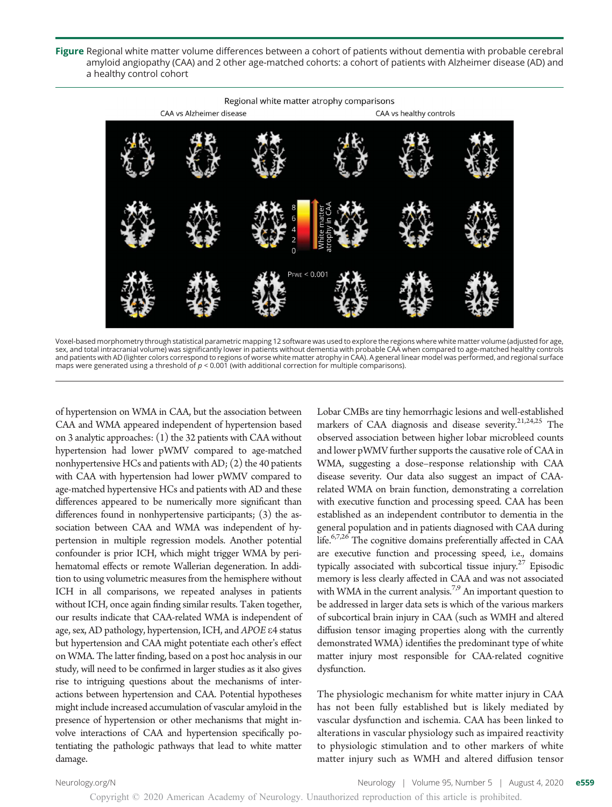Figure Regional white matter volume differences between a cohort of patients without dementia with probable cerebral amyloid angiopathy (CAA) and 2 other age-matched cohorts: a cohort of patients with Alzheimer disease (AD) and a healthy control cohort



Voxel-based morphometry through statistical parametric mapping 12 software was used to explore the regions where white matter volume (adjusted for age, sex, and total intracranial volume) was significantly lower in patients without dementia with probable CAA when compared to age-matched healthy controls and patients with AD (lighter colors correspond to regions of worse white matter atrophy in CAA). A general linear model was performed, and regional surface maps were generated using a threshold of  $p < 0.001$  (with additional correction for multiple comparisons).

of hypertension on WMA in CAA, but the association between CAA and WMA appeared independent of hypertension based on 3 analytic approaches: (1) the 32 patients with CAA without hypertension had lower pWMV compared to age-matched nonhypertensive HCs and patients with AD; (2) the 40 patients with CAA with hypertension had lower pWMV compared to age-matched hypertensive HCs and patients with AD and these differences appeared to be numerically more significant than differences found in nonhypertensive participants; (3) the association between CAA and WMA was independent of hypertension in multiple regression models. Another potential confounder is prior ICH, which might trigger WMA by perihematomal effects or remote Wallerian degeneration. In addition to using volumetric measures from the hemisphere without ICH in all comparisons, we repeated analyses in patients without ICH, once again finding similar results. Taken together, our results indicate that CAA-related WMA is independent of age, sex, AD pathology, hypertension, ICH, and APOE <sup>e</sup>4 status but hypertension and CAA might potentiate each other's effect on WMA. The latter finding, based on a post hoc analysis in our study, will need to be confirmed in larger studies as it also gives rise to intriguing questions about the mechanisms of interactions between hypertension and CAA. Potential hypotheses might include increased accumulation of vascular amyloid in the presence of hypertension or other mechanisms that might involve interactions of CAA and hypertension specifically potentiating the pathologic pathways that lead to white matter damage.

Lobar CMBs are tiny hemorrhagic lesions and well-established markers of CAA diagnosis and disease severity.<sup>21,24,25</sup> The observed association between higher lobar microbleed counts and lower pWMV further supports the causative role of CAA in WMA, suggesting a dose–response relationship with CAA disease severity. Our data also suggest an impact of CAArelated WMA on brain function, demonstrating a correlation with executive function and processing speed. CAA has been established as an independent contributor to dementia in the general population and in patients diagnosed with CAA during life.<sup>6,7,26</sup> The cognitive domains preferentially affected in CAA are executive function and processing speed, i.e., domains typically associated with subcortical tissue injury.<sup>27</sup> Episodic memory is less clearly affected in CAA and was not associated with WMA in the current analysis.<sup>7,9</sup> An important question to be addressed in larger data sets is which of the various markers of subcortical brain injury in CAA (such as WMH and altered diffusion tensor imaging properties along with the currently demonstrated WMA) identifies the predominant type of white matter injury most responsible for CAA-related cognitive dysfunction.

The physiologic mechanism for white matter injury in CAA has not been fully established but is likely mediated by vascular dysfunction and ischemia. CAA has been linked to alterations in vascular physiology such as impaired reactivity to physiologic stimulation and to other markers of white matter injury such as WMH and altered diffusion tensor

[Neurology.org/N](http://neurology.org/n) Neurology | Volume 95, Number 5 | August 4, 2020 e559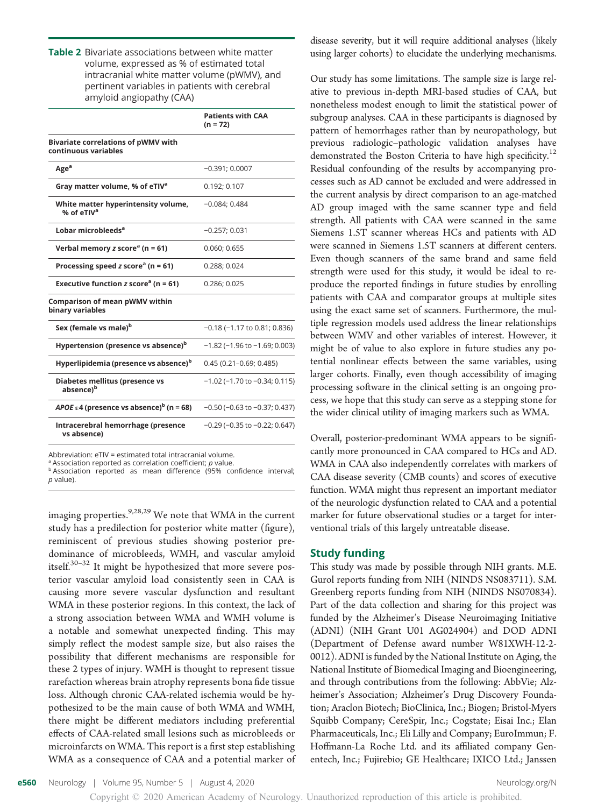Table 2 Bivariate associations between white matter volume, expressed as % of estimated total intracranial white matter volume (pWMV), and pertinent variables in patients with cerebral amyloid angiopathy (CAA)

|                                                                    | <b>Patients with CAA</b><br>$(n = 72)$ |
|--------------------------------------------------------------------|----------------------------------------|
| <b>Bivariate correlations of pWMV with</b><br>continuous variables |                                        |
| Age <sup>a</sup>                                                   | $-0.391; 0.0007$                       |
| Gray matter volume, % of eTIV <sup>a</sup>                         | 0.192; 0.107                           |
| White matter hyperintensity volume,<br>% of eTIV <sup>a</sup>      | $-0.084:0.484$                         |
| Lobar microbleeds <sup>a</sup>                                     | $-0.257; 0.031$                        |
| Verbal memory $z$ score <sup>a</sup> (n = 61)                      | 0.060:0.655                            |
| Processing speed z score <sup>a</sup> ( $n = 61$ )                 | 0.288: 0.024                           |
| Executive function z score <sup>a</sup> (n = 61)                   | 0.286; 0.025                           |
| Comparison of mean pWMV within<br>binary variables                 |                                        |
| Sex (female vs male) <sup>b</sup>                                  | $-0.18$ ( $-1.17$ to 0.81; 0.836)      |
| Hypertension (presence vs absence) <sup>b</sup>                    | $-1.82$ (-1.96 to $-1.69$ ; 0.003)     |
| Hyperlipidemia (presence vs absence) <sup>b</sup>                  | $0.45(0.21 - 0.69; 0.485)$             |
| Diabetes mellitus (presence vs<br>absence) <sup>b</sup>            | $-1.02$ ( $-1.70$ to $-0.34$ ; 0.115)  |
| APOE $\epsilon$ 4 (presence vs absence) <sup>b</sup> (n = 68)      | $-0.50$ ( $-0.63$ to $-0.37$ ; 0.437)  |
| Intracerebral hemorrhage (presence<br>vs absence)                  | $-0.29$ ( $-0.35$ to $-0.22$ ; 0.647)  |

Abbreviation: eTIV = estimated total intracranial volume.

 $a<sub>a</sub>$  Association reported as correlation coefficient;  $p$  value.

<sup>b</sup> Association reported as mean difference (95% confidence interval; p value).

imaging properties.<sup>9,28,29</sup> We note that WMA in the current study has a predilection for posterior white matter (figure), reminiscent of previous studies showing posterior predominance of microbleeds, WMH, and vascular amyloid itself. $30-32$  It might be hypothesized that more severe posterior vascular amyloid load consistently seen in CAA is causing more severe vascular dysfunction and resultant WMA in these posterior regions. In this context, the lack of a strong association between WMA and WMH volume is a notable and somewhat unexpected finding. This may simply reflect the modest sample size, but also raises the possibility that different mechanisms are responsible for these 2 types of injury. WMH is thought to represent tissue rarefaction whereas brain atrophy represents bona fide tissue loss. Although chronic CAA-related ischemia would be hypothesized to be the main cause of both WMA and WMH, there might be different mediators including preferential effects of CAA-related small lesions such as microbleeds or microinfarcts on WMA. This report is a first step establishing WMA as a consequence of CAA and a potential marker of disease severity, but it will require additional analyses (likely using larger cohorts) to elucidate the underlying mechanisms.

Our study has some limitations. The sample size is large relative to previous in-depth MRI-based studies of CAA, but nonetheless modest enough to limit the statistical power of subgroup analyses. CAA in these participants is diagnosed by pattern of hemorrhages rather than by neuropathology, but previous radiologic–pathologic validation analyses have demonstrated the Boston Criteria to have high specificity.<sup>12</sup> Residual confounding of the results by accompanying processes such as AD cannot be excluded and were addressed in the current analysis by direct comparison to an age-matched AD group imaged with the same scanner type and field strength. All patients with CAA were scanned in the same Siemens 1.5T scanner whereas HCs and patients with AD were scanned in Siemens 1.5T scanners at different centers. Even though scanners of the same brand and same field strength were used for this study, it would be ideal to reproduce the reported findings in future studies by enrolling patients with CAA and comparator groups at multiple sites using the exact same set of scanners. Furthermore, the multiple regression models used address the linear relationships between WMV and other variables of interest. However, it might be of value to also explore in future studies any potential nonlinear effects between the same variables, using larger cohorts. Finally, even though accessibility of imaging processing software in the clinical setting is an ongoing process, we hope that this study can serve as a stepping stone for the wider clinical utility of imaging markers such as WMA.

Overall, posterior-predominant WMA appears to be significantly more pronounced in CAA compared to HCs and AD. WMA in CAA also independently correlates with markers of CAA disease severity (CMB counts) and scores of executive function. WMA might thus represent an important mediator of the neurologic dysfunction related to CAA and a potential marker for future observational studies or a target for interventional trials of this largely untreatable disease.

#### Study funding

This study was made by possible through NIH grants. M.E. Gurol reports funding from NIH (NINDS NS083711). S.M. Greenberg reports funding from NIH (NINDS NS070834). Part of the data collection and sharing for this project was funded by the Alzheimer's Disease Neuroimaging Initiative (ADNI) (NIH Grant U01 AG024904) and DOD ADNI (Department of Defense award number W81XWH-12-2- 0012). ADNI is funded by the National Institute on Aging, the National Institute of Biomedical Imaging and Bioengineering, and through contributions from the following: AbbVie; Alzheimer's Association; Alzheimer's Drug Discovery Foundation; Araclon Biotech; BioClinica, Inc.; Biogen; Bristol-Myers Squibb Company; CereSpir, Inc.; Cogstate; Eisai Inc.; Elan Pharmaceuticals, Inc.; Eli Lilly and Company; EuroImmun; F. Hoffmann-La Roche Ltd. and its affiliated company Genentech, Inc.; Fujirebio; GE Healthcare; IXICO Ltd.; Janssen

e560 Neurology | Volume 95, Number 5 | August 4, 2020 [Neurology.org/N](http://neurology.org/n)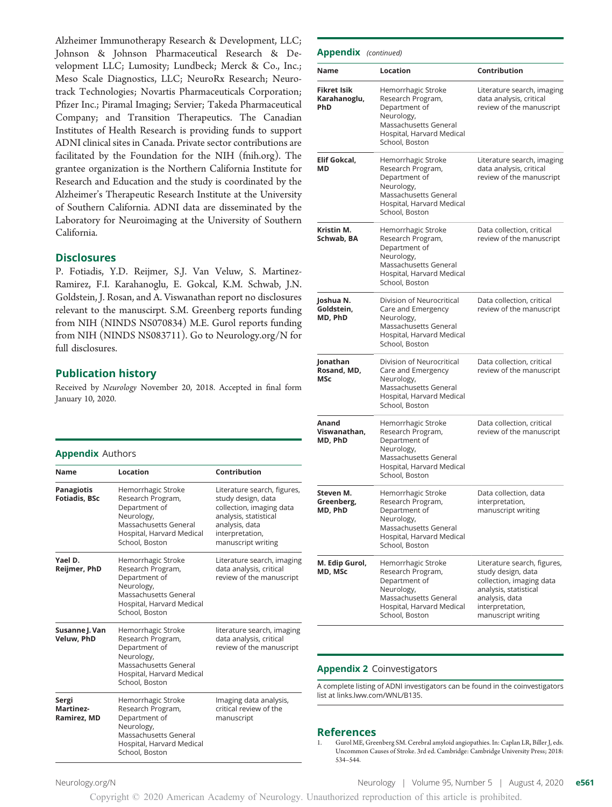Alzheimer Immunotherapy Research & Development, LLC; Johnson & Johnson Pharmaceutical Research & Development LLC; Lumosity; Lundbeck; Merck & Co., Inc.; Meso Scale Diagnostics, LLC; NeuroRx Research; Neurotrack Technologies; Novartis Pharmaceuticals Corporation; Pfizer Inc.; Piramal Imaging; Servier; Takeda Pharmaceutical Company; and Transition Therapeutics. The Canadian Institutes of Health Research is providing funds to support ADNI clinical sites in Canada. Private sector contributions are facilitated by the Foundation for the NIH ([fnih.org](http://www.fnih.org)). The grantee organization is the Northern California Institute for Research and Education and the study is coordinated by the Alzheimer's Therapeutic Research Institute at the University of Southern California. ADNI data are disseminated by the Laboratory for Neuroimaging at the University of Southern California.

#### **Disclosures**

P. Fotiadis, Y.D. Reijmer, S.J. Van Veluw, S. Martinez-Ramirez, F.I. Karahanoglu, E. Gokcal, K.M. Schwab, J.N. Goldstein, J. Rosan, and A. Viswanathan report no disclosures relevant to the manuscirpt. S.M. Greenberg reports funding from NIH (NINDS NS070834) M.E. Gurol reports funding from NIH (NINDS NS083711). Go to [Neurology.org/N](https://n.neurology.org/lookup/doi/10.1212/WNL.0000000000010017) for full disclosures.

## Publication history

Received by Neurology November 20, 2018. Accepted in final form January 10, 2020.

#### Appendix Authors

| <b>Name</b>                               | Location                                                                                                                                       | Contribution                                                                                                                                                      |
|-------------------------------------------|------------------------------------------------------------------------------------------------------------------------------------------------|-------------------------------------------------------------------------------------------------------------------------------------------------------------------|
| <b>Panagiotis</b><br><b>Fotiadis, BSc</b> | Hemorrhagic Stroke<br>Research Program,<br>Department of<br>Neurology,<br>Massachusetts General<br>Hospital, Harvard Medical<br>School, Boston | Literature search, figures,<br>study design, data<br>collection, imaging data<br>analysis, statistical<br>analysis, data<br>interpretation,<br>manuscript writing |
| Yael D.<br>Reijmer, PhD                   | Hemorrhagic Stroke<br>Research Program,<br>Department of<br>Neurology,<br>Massachusetts General<br>Hospital, Harvard Medical<br>School, Boston | Literature search, imaging<br>data analysis, critical<br>review of the manuscript                                                                                 |
| Susanne J. Van<br>Veluw, PhD              | Hemorrhagic Stroke<br>Research Program,<br>Department of<br>Neurology,<br>Massachusetts General<br>Hospital, Harvard Medical<br>School, Boston | literature search, imaging<br>data analysis, critical<br>review of the manuscript                                                                                 |
| Sergi<br><b>Martinez-</b><br>Ramirez, MD  | Hemorrhagic Stroke<br>Research Program,<br>Department of<br>Neurology,<br>Massachusetts General<br>Hospital, Harvard Medical<br>School, Boston | Imaging data analysis,<br>critical review of the<br>manuscript                                                                                                    |

| <b>Appendix</b> (continued)               |                                                                                                                                                |                                                                                                                                                                   |  |  |  |
|-------------------------------------------|------------------------------------------------------------------------------------------------------------------------------------------------|-------------------------------------------------------------------------------------------------------------------------------------------------------------------|--|--|--|
| Name                                      | Location                                                                                                                                       | Contribution                                                                                                                                                      |  |  |  |
| <b>Fikret Isik</b><br>Karahanoglu,<br>PhD | Hemorrhagic Stroke<br>Research Program,<br>Department of<br>Neurology,<br>Massachusetts General<br>Hospital, Harvard Medical<br>School, Boston | Literature search, imaging<br>data analysis, critical<br>review of the manuscript                                                                                 |  |  |  |
| Elif Gokcal,<br>МD                        | Hemorrhagic Stroke<br>Research Program,<br>Department of<br>Neurology,<br>Massachusetts General<br>Hospital, Harvard Medical<br>School, Boston | Literature search, imaging<br>data analysis, critical<br>review of the manuscript                                                                                 |  |  |  |
| Kristin M.<br>Schwab, BA                  | Hemorrhagic Stroke<br>Research Program,<br>Department of<br>Neurology,<br>Massachusetts General<br>Hospital, Harvard Medical<br>School, Boston | Data collection, critical<br>review of the manuscript                                                                                                             |  |  |  |
| Joshua N.<br>Goldstein.<br>MD, PhD        | Division of Neurocritical<br>Care and Emergency<br>Neurology,<br>Massachusetts General<br>Hospital, Harvard Medical<br>School, Boston          | Data collection, critical<br>review of the manuscript                                                                                                             |  |  |  |
| Jonathan<br>Rosand, MD,<br>MSc            | Division of Neurocritical<br>Care and Emergency<br>Neurology,<br>Massachusetts General<br>Hospital, Harvard Medical<br>School, Boston          | Data collection, critical<br>review of the manuscript                                                                                                             |  |  |  |
| Anand<br>Viswanathan,<br>MD, PhD          | Hemorrhagic Stroke<br>Research Program,<br>Department of<br>Neurology,<br>Massachusetts General<br>Hospital, Harvard Medical<br>School, Boston | Data collection, critical<br>review of the manuscript                                                                                                             |  |  |  |
| Steven M.<br>Greenberg,<br>MD, PhD        | Hemorrhagic Stroke<br>Research Program,<br>Department of<br>Neurology,<br>Massachusetts General<br>Hospital, Harvard Medical<br>School, Boston | Data collection, data<br>interpretation,<br>manuscript writing                                                                                                    |  |  |  |
| M. Edip Gurol,<br>MD, MSc                 | Hemorrhagic Stroke<br>Research Program,<br>Department of<br>Neurology,<br>Massachusetts General<br>Hospital, Harvard Medical<br>School, Boston | Literature search, figures,<br>study design, data<br>collection, imaging data<br>analysis, statistical<br>analysis, data<br>interpretation,<br>manuscript writing |  |  |  |

#### Appendix 2 Coinvestigators

A complete listing of ADNI investigators can be found in the coinvestigators list at [links.lww.com/WNL/B135](http://links.lww.com/WNL/B135).

## References

1. Gurol ME, Greenberg SM. Cerebral amyloid angiopathies. In: Caplan LR, Biller J, eds. Uncommon Causes of Stroke. 3rd ed. Cambridge: Cambridge University Press; 2018: 534–544.

[Neurology.org/N](http://neurology.org/n) **Neurology | Volume 95, Number 5 | August 4, 2020 e561**